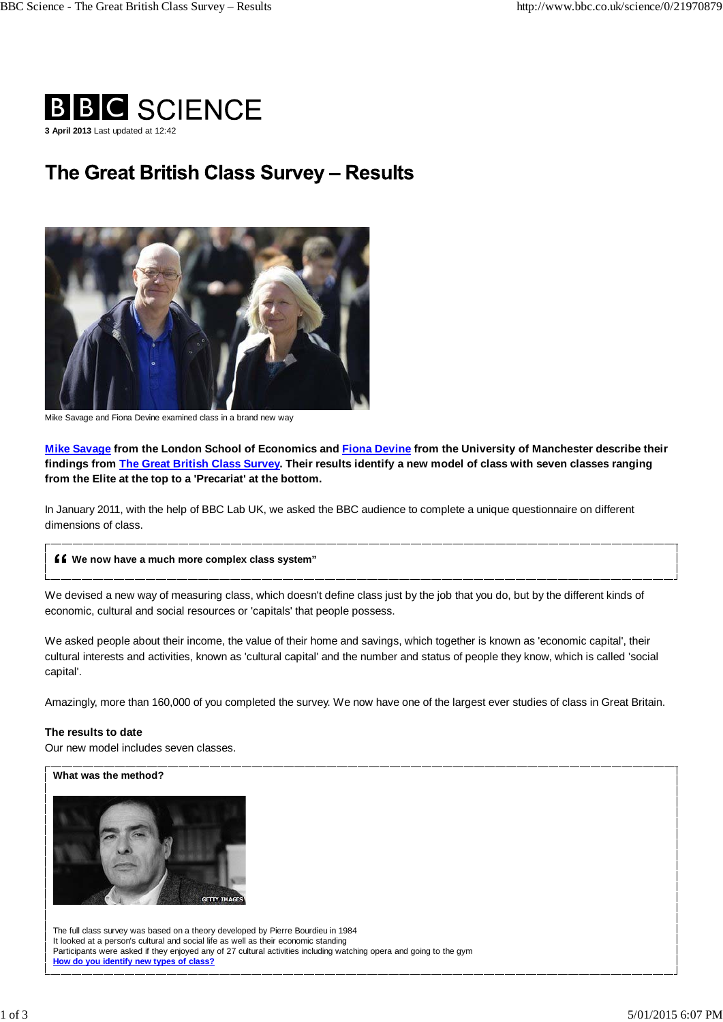

## The Great British Class Survey - Results



Mike Savage and Fiona Devine examined class in a brand new way

**Mike Savage from the London School of Economics and Fiona Devine from the University of Manchester describe their findings from The Great British Class Survey. Their results identify a new model of class with seven classes ranging from the Elite at the top to a 'Precariat' at the bottom.**

In January 2011, with the help of BBC Lab UK, we asked the BBC audience to complete a unique questionnaire on different dimensions of class.

## **We now have a much more complex class system"**

We devised a new way of measuring class, which doesn't define class just by the job that you do, but by the different kinds of economic, cultural and social resources or 'capitals' that people possess.

We asked people about their income, the value of their home and savings, which together is known as 'economic capital', their cultural interests and activities, known as 'cultural capital' and the number and status of people they know, which is called 'social capital'.

Amazingly, more than 160,000 of you completed the survey. We now have one of the largest ever studies of class in Great Britain.

## **The results to date**

Our new model includes seven classes.

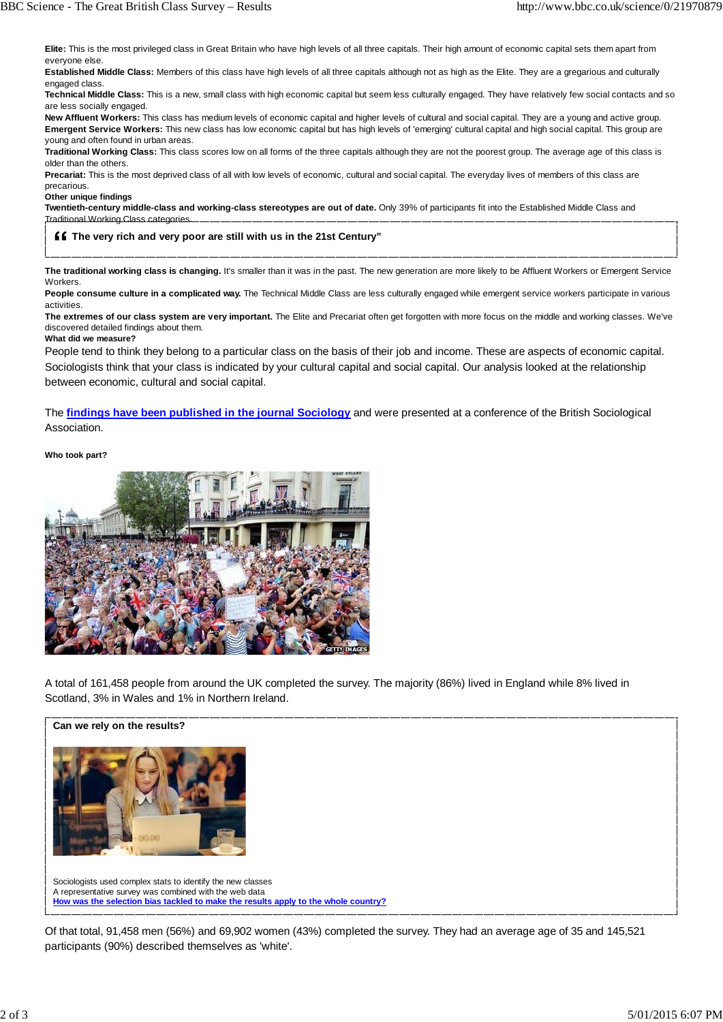**Elite:** This is the most privileged class in Great Britain who have high levels of all three capitals. Their high amount of economic capital sets them apart from everyone else.

**Established Middle Class:** Members of this class have high levels of all three capitals although not as high as the Elite. They are a gregarious and culturally engaged class.

**Technical Middle Class:** This is a new, small class with high economic capital but seem less culturally engaged. They have relatively few social contacts and so are less socially engaged.

**New Affluent Workers:** This class has medium levels of economic capital and higher levels of cultural and social capital. They are a young and active group. **Emergent Service Workers:** This new class has low economic capital but has high levels of 'emerging' cultural capital and high social capital. This group are young and often found in urban areas.

**Traditional Working Class:** This class scores low on all forms of the three capitals although they are not the poorest group. The average age of this class is older than the others.

Precariat: This is the most deprived class of all with low levels of economic, cultural and social capital. The everyday lives of members of this class are precarious.

**Other unique findings**

**Twentieth-century middle-class and working-class stereotypes are out of date.** Only 39% of participants fit into the Established Middle Class and Traditional Working Class categories.

**The very rich and very poor are still with us in the 21st Century"**

The traditional working class is changing. It's smaller than it was in the past. The new generation are more likely to be Affluent Workers or Emergent Service Workers.

**People consume culture in a complicated way.** The Technical Middle Class are less culturally engaged while emergent service workers participate in various activities.

**The extremes of our class system are very important.** The Elite and Precariat often get forgotten with more focus on the middle and working classes. We've discovered detailed findings about them.

**What did we measure?**

People tend to think they belong to a particular class on the basis of their job and income. These are aspects of economic capital. Sociologists think that your class is indicated by your cultural capital and social capital. Our analysis looked at the relationship between economic, cultural and social capital.

The **findings have been published in the journal Sociology** and were presented at a conference of the British Sociological Association.

**Who took part?**



A total of 161,458 people from around the UK completed the survey. The majority (86%) lived in England while 8% lived in Scotland, 3% in Wales and 1% in Northern Ireland.



Of that total, 91,458 men (56%) and 69,902 women (43%) completed the survey. They had an average age of 35 and 145,521 participants (90%) described themselves as 'white'.